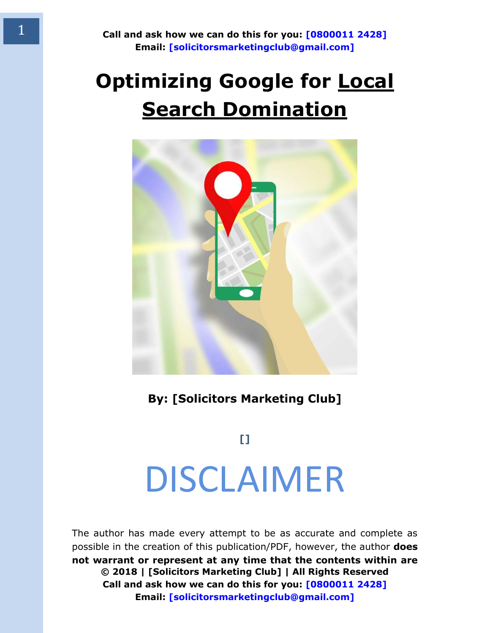### **Optimizing Google for Local Search Domination**



**By: [Solicitors Marketing Club]** 

**[]**  DISCLAIMER

<span id="page-0-0"></span>**© 2018 | [Solicitors Marketing Club] | All Rights Reserved Call and ask how we can do this for you: [0800011 2428] Email: [solicitorsmarketingclub@gmail.com]**  The author has made every attempt to be as accurate and complete as possible in the creation of this publication/PDF, however, the author **does not warrant or represent at any time that the contents within are**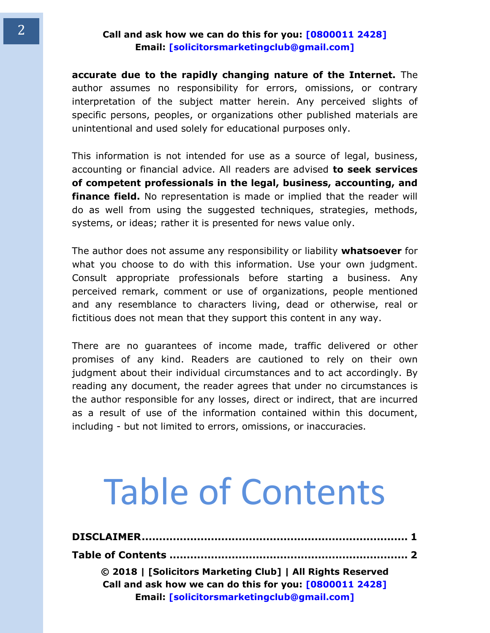**accurate due to the rapidly changing nature of the Internet.** The author assumes no responsibility for errors, omissions, or contrary interpretation of the subject matter herein. Any perceived slights of specific persons, peoples, or organizations other published materials are unintentional and used solely for educational purposes only.

This information is not intended for use as a source of legal, business, accounting or financial advice. All readers are advised **to seek services of competent professionals in the legal, business, accounting, and finance field.** No representation is made or implied that the reader will do as well from using the suggested techniques, strategies, methods, systems, or ideas; rather it is presented for news value only.

The author does not assume any responsibility or liability **whatsoever** for what you choose to do with this information. Use your own judgment. Consult appropriate professionals before starting a business. Any perceived remark, comment or use of organizations, people mentioned and any resemblance to characters living, dead or otherwise, real or fictitious does not mean that they support this content in any way.

There are no guarantees of income made, traffic delivered or other promises of any kind. Readers are cautioned to rely on their own judgment about their individual circumstances and to act accordingly. By reading any document, the reader agrees that under no circumstances is the author responsible for any losses, direct or indirect, that are incurred as a result of use of the information contained within this document, including - but not limited to errors, omissions, or inaccuracies.

## <span id="page-1-0"></span>Table of Contents

| © 2018   [Solicitors Marketing Club]   All Rights Reserved |  |
|------------------------------------------------------------|--|
| Call and ask how we can do this for you: [0800011 2428]    |  |
| Email: [solicitorsmarketingclub@gmail.com]                 |  |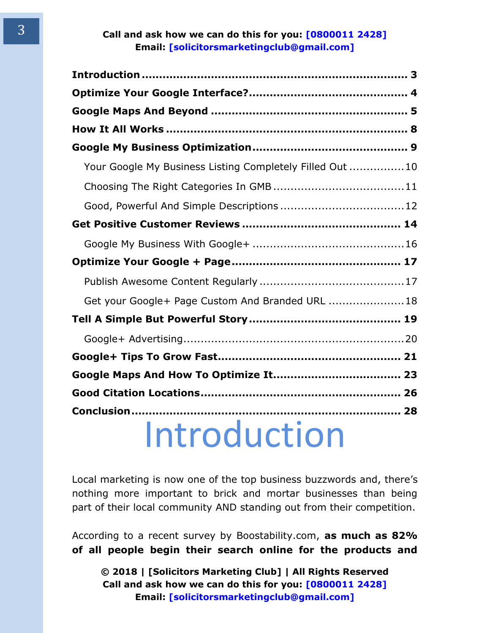| Your Google My Business Listing Completely Filled Out  10 |  |
|-----------------------------------------------------------|--|
|                                                           |  |
|                                                           |  |
|                                                           |  |
|                                                           |  |
|                                                           |  |
|                                                           |  |
| Get your Google+ Page Custom And Branded URL  18          |  |
|                                                           |  |
|                                                           |  |
|                                                           |  |
|                                                           |  |
|                                                           |  |
|                                                           |  |
| Introduction                                              |  |

<span id="page-2-0"></span>Local marketing is now one of the top business buzzwords and, there's nothing more important to brick and mortar businesses than being part of their local community AND standing out from their competition.

According to a recent survey by Boostability.com, **as much as 82% of all people begin their search online for the products and**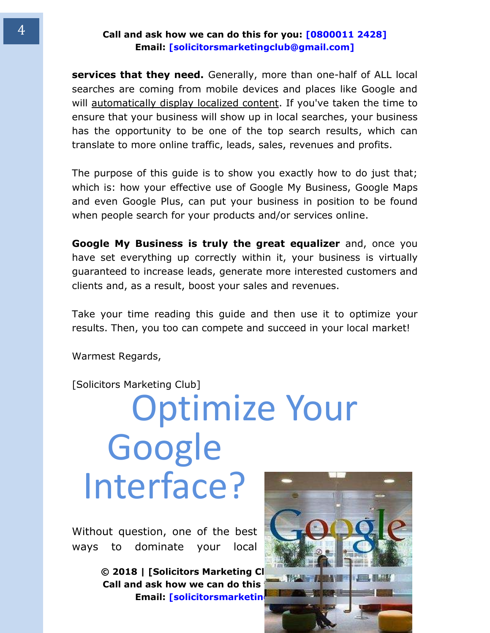**services that they need.** Generally, more than one-half of ALL local searches are coming from mobile devices and places like Google and will automatically display localized content. If you've taken the time to ensure that your business will show up in local searches, your business has the opportunity to be one of the top search results, which can translate to more online traffic, leads, sales, revenues and profits.

The purpose of this guide is to show you exactly how to do just that; which is: how your effective use of Google My Business, Google Maps and even Google Plus, can put your business in position to be found when people search for your products and/or services online.

**Google My Business is truly the great equalizer** and, once you have set everything up correctly within it, your business is virtually guaranteed to increase leads, generate more interested customers and clients and, as a result, boost your sales and revenues.

Take your time reading this guide and then use it to optimize your results. Then, you too can compete and succeed in your local market!

Warmest Regards,

<span id="page-3-0"></span>[Solicitors Marketing Club]

## Optimize Your Google Interface?

Without question, one of the best ways to dominate your local

> **© 2018 | [Solicitors Marketing CI Call and ask how we can do this Email: [solicitorsmarketing**

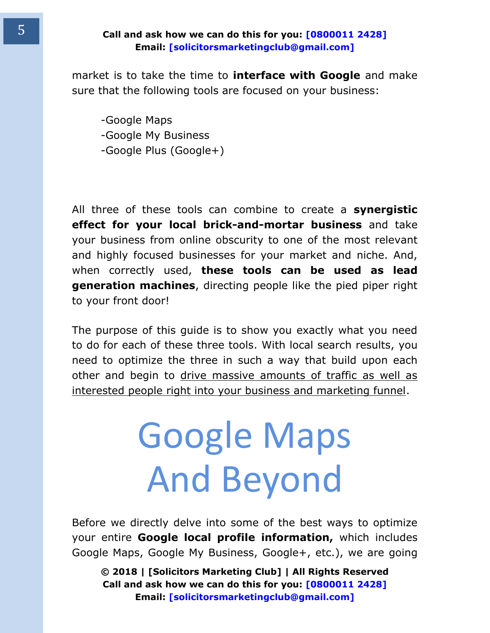market is to take the time to **interface with Google** and make sure that the following tools are focused on your business:

-Google Maps -Google My Business -Google Plus (Google+)

All three of these tools can combine to create a **synergistic effect for your local brick-and-mortar business** and take your business from online obscurity to one of the most relevant and highly focused businesses for your market and niche. And, when correctly used, **these tools can be used as lead generation machines**, directing people like the pied piper right to your front door!

The purpose of this guide is to show you exactly what you need to do for each of these three tools. With local search results, you need to optimize the three in such a way that build upon each other and begin to drive massive amounts of traffic as well as interested people right into your business and marketing funnel.

# <span id="page-4-0"></span>Google Maps And Beyond

Before we directly delve into some of the best ways to optimize your entire **Google local profile information,** which includes Google Maps, Google My Business, Google+, etc.), we are going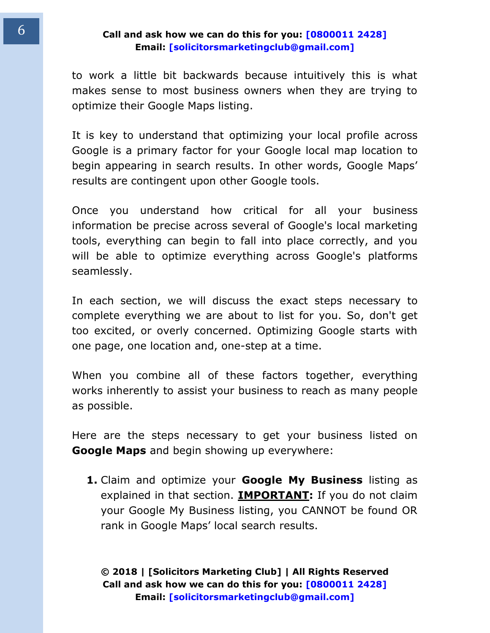to work a little bit backwards because intuitively this is what makes sense to most business owners when they are trying to optimize their Google Maps listing.

It is key to understand that optimizing your local profile across Google is a primary factor for your Google local map location to begin appearing in search results. In other words, Google Maps' results are contingent upon other Google tools.

Once you understand how critical for all your business information be precise across several of Google's local marketing tools, everything can begin to fall into place correctly, and you will be able to optimize everything across Google's platforms seamlessly.

In each section, we will discuss the exact steps necessary to complete everything we are about to list for you. So, don't get too excited, or overly concerned. Optimizing Google starts with one page, one location and, one-step at a time.

When you combine all of these factors together, everything works inherently to assist your business to reach as many people as possible.

Here are the steps necessary to get your business listed on **Google Maps** and begin showing up everywhere:

**1.** Claim and optimize your **Google My Business** listing as explained in that section. **IMPORTANT:** If you do not claim your Google My Business listing, you CANNOT be found OR rank in Google Maps' local search results.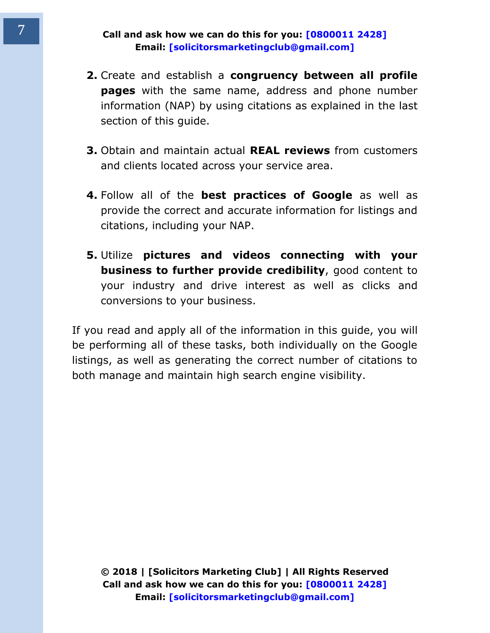- **2.** Create and establish a **congruency between all profile pages** with the same name, address and phone number information (NAP) by using citations as explained in the last section of this guide.
- **3.** Obtain and maintain actual **REAL reviews** from customers and clients located across your service area.
- **4.** Follow all of the **best practices of Google** as well as provide the correct and accurate information for listings and citations, including your NAP.
- **5.** Utilize **pictures and videos connecting with your business to further provide credibility**, good content to your industry and drive interest as well as clicks and conversions to your business.

If you read and apply all of the information in this guide, you will be performing all of these tasks, both individually on the Google listings, as well as generating the correct number of citations to both manage and maintain high search engine visibility.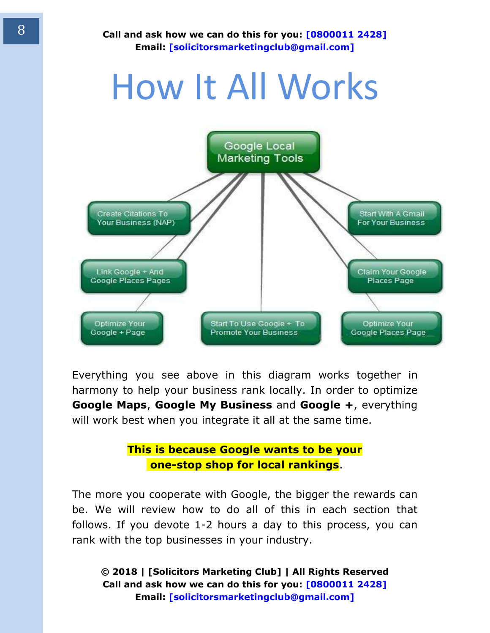## How It All Works

<span id="page-7-0"></span>

Everything you see above in this diagram works together in harmony to help your business rank locally. In order to optimize **Google Maps**, **Google My Business** and **Google +**, everything will work best when you integrate it all at the same time.

#### **This is because Google wants to be your one-stop shop for local rankings**.

The more you cooperate with Google, the bigger the rewards can be. We will review how to do all of this in each section that follows. If you devote 1-2 hours a day to this process, you can rank with the top businesses in your industry.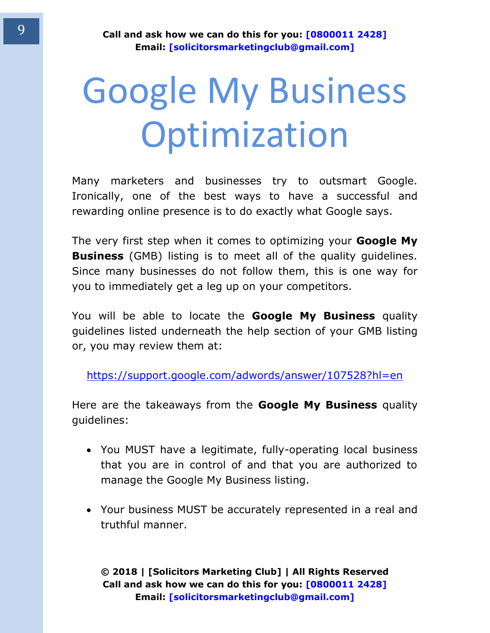# <span id="page-8-0"></span>Google My Business Optimization

Many marketers and businesses try to outsmart Google. Ironically, one of the best ways to have a successful and rewarding online presence is to do exactly what Google says.

The very first step when it comes to optimizing your **Google My Business** (GMB) listing is to meet all of the quality guidelines. Since many businesses do not follow them, this is one way for you to immediately get a leg up on your competitors.

You will be able to locate the **Google My Business** quality guidelines listed underneath the help section of your GMB listing or, you may review them at:

<https://support.google.com/adwords/answer/107528?hl=en>

Here are the takeaways from the **Google My Business** quality guidelines:

- You MUST have a legitimate, fully-operating local business that you are in control of and that you are authorized to manage the Google My Business listing.
- Your business MUST be accurately represented in a real and truthful manner.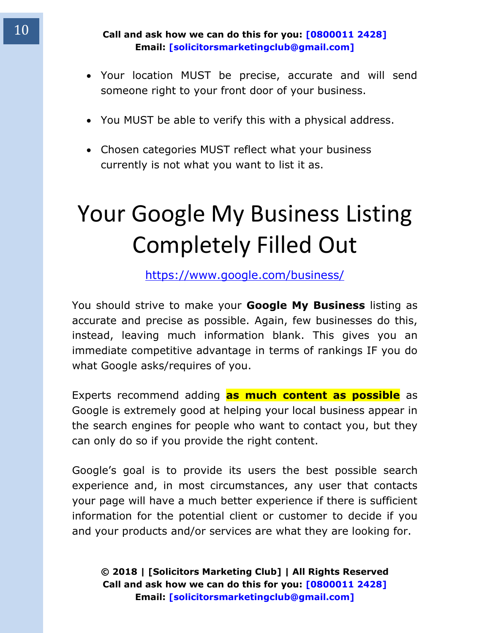- Your location MUST be precise, accurate and will send someone right to your front door of your business.
- You MUST be able to verify this with a physical address.
- Chosen categories MUST reflect what your business currently is not what you want to list it as.

### <span id="page-9-0"></span>Your Google My Business Listing Completely Filled Out

<https://www.google.com/business/>

You should strive to make your **Google My Business** listing as accurate and precise as possible. Again, few businesses do this, instead, leaving much information blank. This gives you an immediate competitive advantage in terms of rankings IF you do what Google asks/requires of you.

Experts recommend adding **as much content as possible** as Google is extremely good at helping your local business appear in the search engines for people who want to contact you, but they can only do so if you provide the right content.

Google's goal is to provide its users the best possible search experience and, in most circumstances, any user that contacts your page will have a much better experience if there is sufficient information for the potential client or customer to decide if you and your products and/or services are what they are looking for.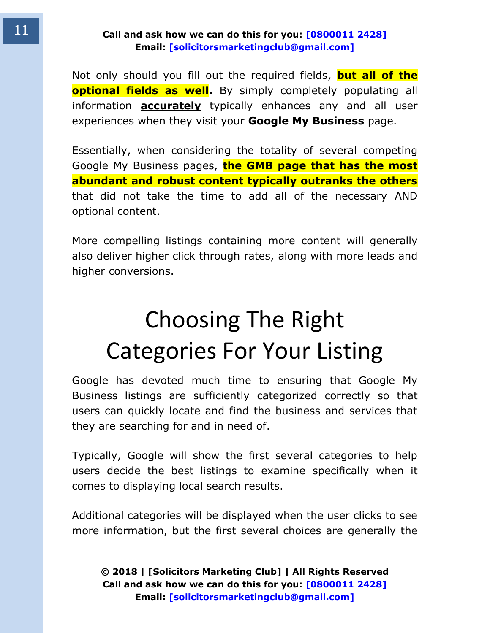Not only should you fill out the required fields, **but all of the optional fields as well.** By simply completely populating all information **accurately** typically enhances any and all user experiences when they visit your **Google My Business** page.

Essentially, when considering the totality of several competing Google My Business pages, **the GMB page that has the most abundant and robust content typically outranks the others** that did not take the time to add all of the necessary AND optional content.

More compelling listings containing more content will generally also deliver higher click through rates, along with more leads and higher conversions.

### <span id="page-10-0"></span>Choosing The Right Categories For Your Listing

Google has devoted much time to ensuring that Google My Business listings are sufficiently categorized correctly so that users can quickly locate and find the business and services that they are searching for and in need of.

Typically, Google will show the first several categories to help users decide the best listings to examine specifically when it comes to displaying local search results.

Additional categories will be displayed when the user clicks to see more information, but the first several choices are generally the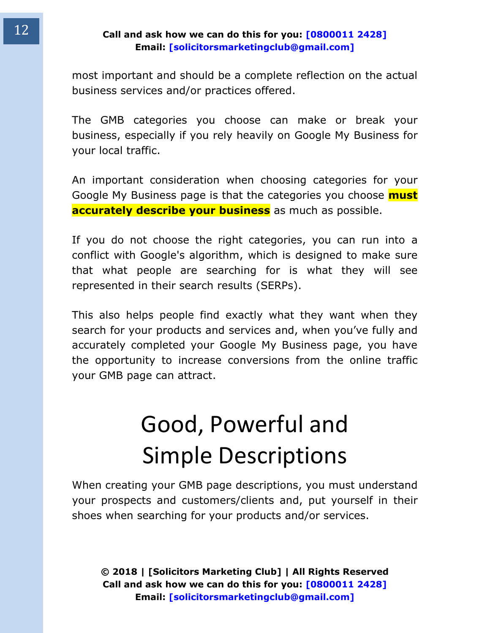most important and should be a complete reflection on the actual business services and/or practices offered.

The GMB categories you choose can make or break your business, especially if you rely heavily on Google My Business for your local traffic.

An important consideration when choosing categories for your Google My Business page is that the categories you choose **must accurately describe your business** as much as possible.

If you do not choose the right categories, you can run into a conflict with Google's algorithm, which is designed to make sure that what people are searching for is what they will see represented in their search results (SERPs).

This also helps people find exactly what they want when they search for your products and services and, when you've fully and accurately completed your Google My Business page, you have the opportunity to increase conversions from the online traffic your GMB page can attract.

### <span id="page-11-0"></span>Good, Powerful and Simple Descriptions

When creating your GMB page descriptions, you must understand your prospects and customers/clients and, put yourself in their shoes when searching for your products and/or services.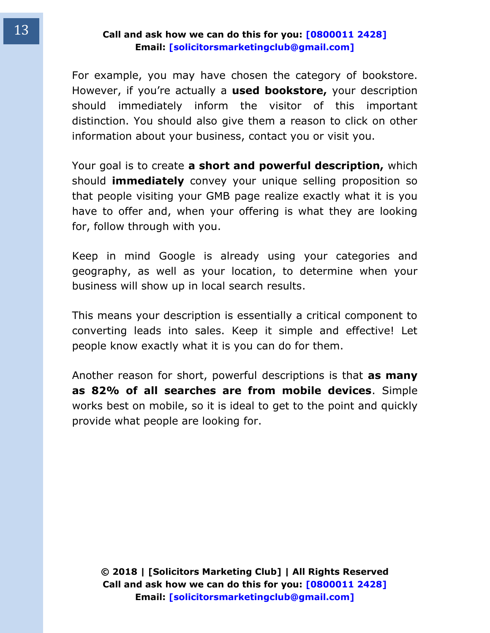For example, you may have chosen the category of bookstore. However, if you're actually a **used bookstore,** your description should immediately inform the visitor of this important distinction. You should also give them a reason to click on other information about your business, contact you or visit you.

Your goal is to create **a short and powerful description,** which should **immediately** convey your unique selling proposition so that people visiting your GMB page realize exactly what it is you have to offer and, when your offering is what they are looking for, follow through with you.

Keep in mind Google is already using your categories and geography, as well as your location, to determine when your business will show up in local search results.

This means your description is essentially a critical component to converting leads into sales. Keep it simple and effective! Let people know exactly what it is you can do for them.

Another reason for short, powerful descriptions is that **as many as 82% of all searches are from mobile devices**. Simple works best on mobile, so it is ideal to get to the point and quickly provide what people are looking for.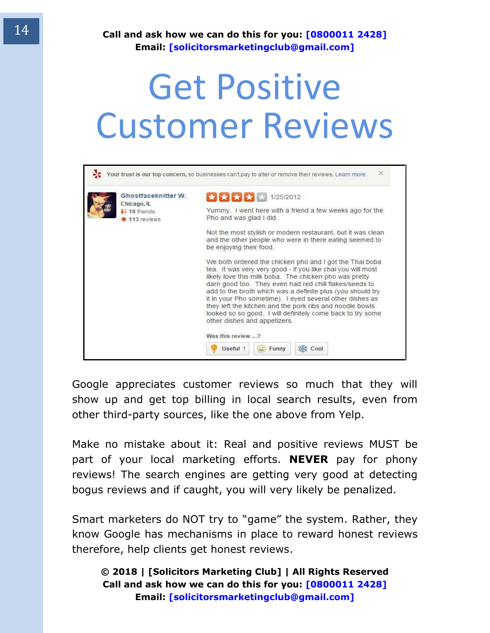## <span id="page-13-0"></span>Get Positive Customer Reviews

| Ghostfaceknitter W.<br>Chicago, IL | ★★★★★★★★★ 1/25/2012                                                                                                                                                                                                                                                                                                                                                                                                                                                                                                            |
|------------------------------------|--------------------------------------------------------------------------------------------------------------------------------------------------------------------------------------------------------------------------------------------------------------------------------------------------------------------------------------------------------------------------------------------------------------------------------------------------------------------------------------------------------------------------------|
| $-18$ friends<br>113 reviews       | Yummy. I went here with a friend a few weeks ago for the<br>Pho and was glad I did.                                                                                                                                                                                                                                                                                                                                                                                                                                            |
|                                    | Not the most stylish or modern restaurant, but it was clean<br>and the other people who were in there eating seemed to<br>be enjoying their food.                                                                                                                                                                                                                                                                                                                                                                              |
|                                    | We both ordered the chicken pho and I got the Thai boba<br>tea. It was very very good - if you like chai you will most<br>likely love this milk boba. The chicken pho was pretty<br>darn good too. They even had red chili flakes/seeds to<br>add to the broth which was a definite plus (you should try<br>it in your Pho sometime). I eyed several other dishes as<br>they left the kitchen and the pork ribs and noodle bowls<br>looked so so good. I will definitely come back to try some<br>other dishes and appetizers. |

Google appreciates customer reviews so much that they will show up and get top billing in local search results, even from other third-party sources, like the one above from Yelp.

Make no mistake about it: Real and positive reviews MUST be part of your local marketing efforts. **NEVER** pay for phony reviews! The search engines are getting very good at detecting bogus reviews and if caught, you will very likely be penalized.

Smart marketers do NOT try to "game" the system. Rather, they know Google has mechanisms in place to reward honest reviews therefore, help clients get honest reviews.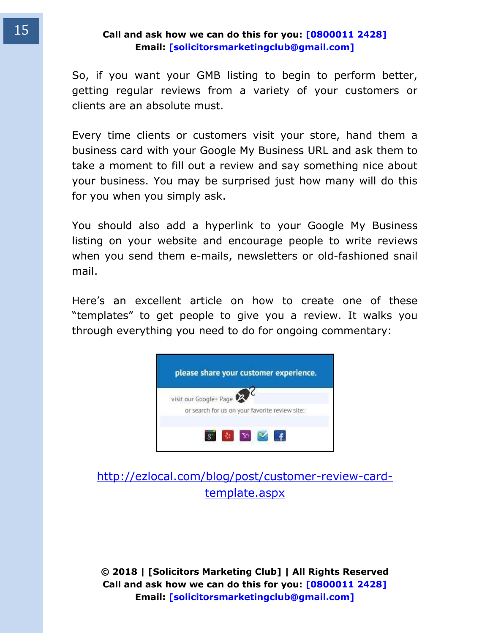So, if you want your GMB listing to begin to perform better, getting regular reviews from a variety of your customers or clients are an absolute must.

Every time clients or customers visit your store, hand them a business card with your Google My Business URL and ask them to take a moment to fill out a review and say something nice about your business. You may be surprised just how many will do this for you when you simply ask.

You should also add a hyperlink to your Google My Business listing on your website and encourage people to write reviews when you send them e-mails, newsletters or old-fashioned snail mail.

Here's an excellent article on how to create one of these "templates" to get people to give you a review. It walks you through everything you need to do for ongoing commentary:



#### [http://ezlocal.com/blog/post/customer-review-card](http://ezlocal.com/blog/post/customer-review-card-template.aspx)[template.aspx](http://ezlocal.com/blog/post/customer-review-card-template.aspx)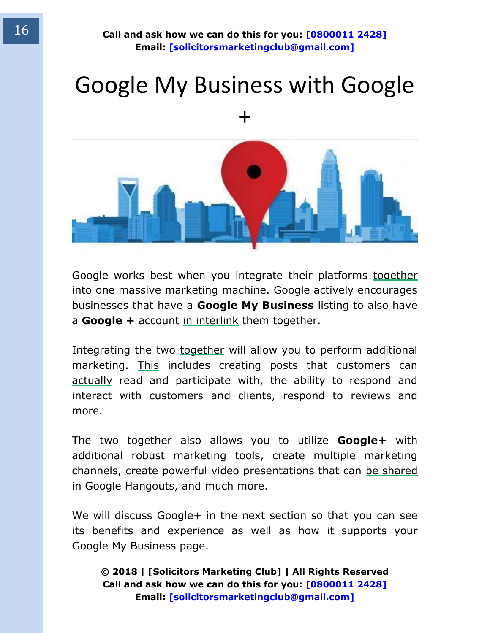### <span id="page-15-0"></span>Google My Business with Google +



Google works best when you integrate their platforms together into one massive marketing machine. Google actively encourages businesses that have a **Google My Business** listing to also have a **Google +** account in interlink them together.

Integrating the two together will allow you to perform additional marketing. This includes creating posts that customers can actually read and participate with, the ability to respond and interact with customers and clients, respond to reviews and more.

The two together also allows you to utilize **Google+** with additional robust marketing tools, create multiple marketing channels, create powerful video presentations that can be shared in Google Hangouts, and much more.

We will discuss Google+ in the next section so that you can see its benefits and experience as well as how it supports your Google My Business page.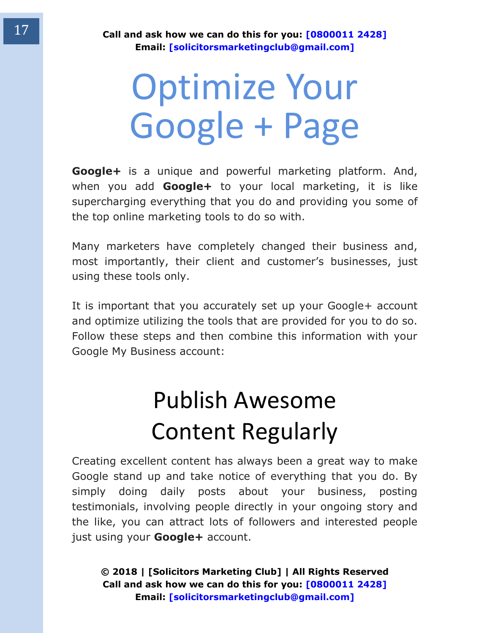## <span id="page-16-0"></span>Optimize Your Google + Page

**Google+** is a unique and powerful marketing platform. And, when you add **Google+** to your local marketing, it is like supercharging everything that you do and providing you some of the top online marketing tools to do so with.

Many marketers have completely changed their business and, most importantly, their client and customer's businesses, just using these tools only.

<span id="page-16-1"></span>It is important that you accurately set up your Google+ account and optimize utilizing the tools that are provided for you to do so. Follow these steps and then combine this information with your Google My Business account:

### Publish Awesome Content Regularly

Creating excellent content has always been a great way to make Google stand up and take notice of everything that you do. By simply doing daily posts about your business, posting testimonials, involving people directly in your ongoing story and the like, you can attract lots of followers and interested people just using your **Google+** account.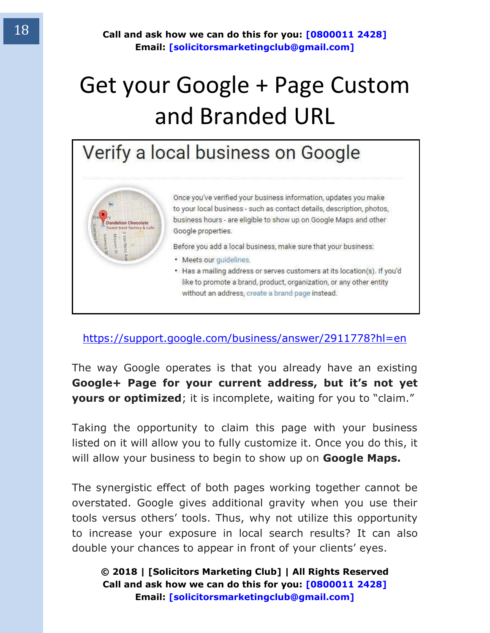### <span id="page-17-0"></span>Get your Google + Page Custom and Branded URL

### Verify a local business on Google



Once you've verified your business information, updates you make to your local business - such as contact details, description, photos, business hours - are eligible to show up on Google Maps and other Google properties.

Before you add a local business, make sure that your business:

- · Meets our guidelines.
- . Has a mailing address or serves customers at its location(s). If you'd like to promote a brand, product, organization, or any other entity without an address, create a brand page instead.

#### <https://support.google.com/business/answer/2911778?hl=en>

The way Google operates is that you already have an existing **Google+ Page for your current address, but it's not yet yours or optimized**; it is incomplete, waiting for you to "claim."

Taking the opportunity to claim this page with your business listed on it will allow you to fully customize it. Once you do this, it will allow your business to begin to show up on **Google Maps.**

The synergistic effect of both pages working together cannot be overstated. Google gives additional gravity when you use their tools versus others' tools. Thus, why not utilize this opportunity to increase your exposure in local search results? It can also double your chances to appear in front of your clients' eyes.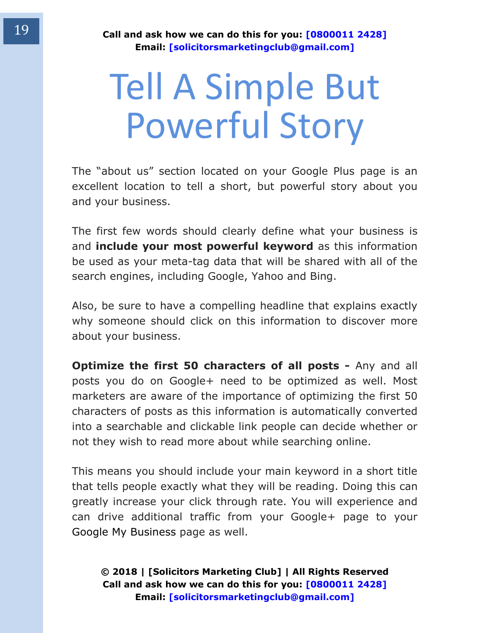# <span id="page-18-0"></span>Tell A Simple But Powerful Story

The "about us" section located on your Google Plus page is an excellent location to tell a short, but powerful story about you and your business.

The first few words should clearly define what your business is and **include your most powerful keyword** as this information be used as your meta-tag data that will be shared with all of the search engines, including Google, Yahoo and Bing.

Also, be sure to have a compelling headline that explains exactly why someone should click on this information to discover more about your business.

**Optimize the first 50 characters of all posts - Any and all** posts you do on Google+ need to be optimized as well. Most marketers are aware of the importance of optimizing the first 50 characters of posts as this information is automatically converted into a searchable and clickable link people can decide whether or not they wish to read more about while searching online.

This means you should include your main keyword in a short title that tells people exactly what they will be reading. Doing this can greatly increase your click through rate. You will experience and can drive additional traffic from your Google+ page to your Google My Business page as well.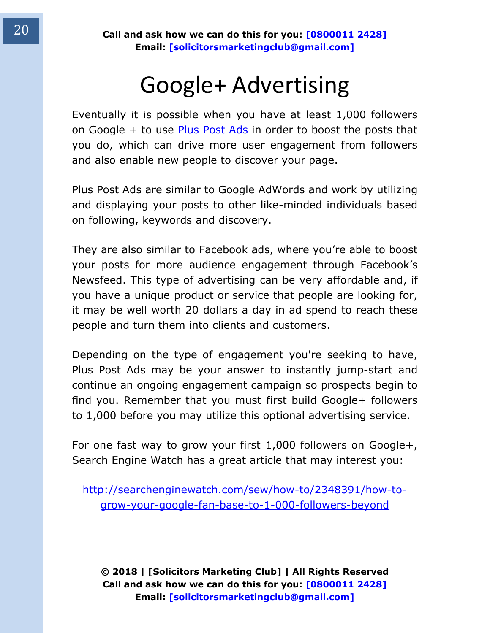### Google+ Advertising

<span id="page-19-0"></span>Eventually it is possible when you have at least 1,000 followers on Google  $+$  to use [Plus Post Ads](http://www.google.com/+/brands/ads.html) in order to boost the posts that you do, which can drive more user engagement from followers and also enable new people to discover your page.

Plus Post Ads are similar to Google AdWords and work by utilizing and displaying your posts to other like-minded individuals based on following, keywords and discovery.

They are also similar to Facebook ads, where you're able to boost your posts for more audience engagement through Facebook's Newsfeed. This type of advertising can be very affordable and, if you have a unique product or service that people are looking for, it may be well worth 20 dollars a day in ad spend to reach these people and turn them into clients and customers.

Depending on the type of engagement you're seeking to have, Plus Post Ads may be your answer to instantly jump-start and continue an ongoing engagement campaign so prospects begin to find you. Remember that you must first build Google+ followers to 1,000 before you may utilize this optional advertising service.

For one fast way to grow your first 1,000 followers on Google+, Search Engine Watch has a great article that may interest you:

[http://searchenginewatch.com/sew/how-to/2348391/how-to](http://searchenginewatch.com/sew/how-to/2348391/how-to-grow-your-google-fan-base-to-1-000-followers-beyond)[grow-your-google-fan-base-to-1-000-followers-beyond](http://searchenginewatch.com/sew/how-to/2348391/how-to-grow-your-google-fan-base-to-1-000-followers-beyond)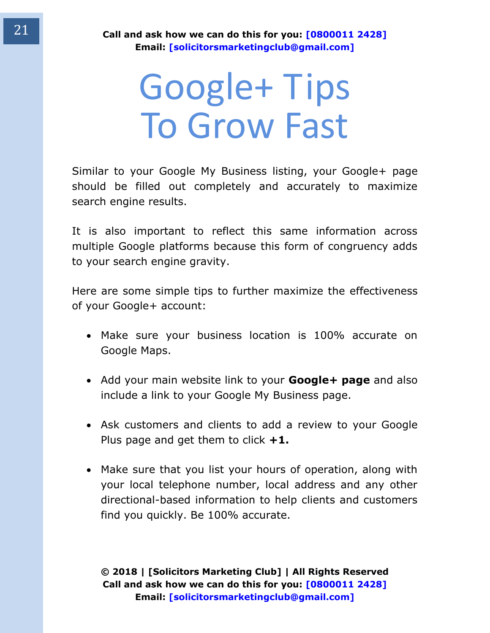### <span id="page-20-0"></span>Google+ Tips To Grow Fast

Similar to your Google My Business listing, your Google+ page should be filled out completely and accurately to maximize search engine results.

It is also important to reflect this same information across multiple Google platforms because this form of congruency adds to your search engine gravity.

Here are some simple tips to further maximize the effectiveness of your Google+ account:

- Make sure your business location is 100% accurate on Google Maps.
- Add your main website link to your **Google+ page** and also include a link to your Google My Business page.
- Ask customers and clients to add a review to your Google Plus page and get them to click **+1.**
- Make sure that you list your hours of operation, along with your local telephone number, local address and any other directional-based information to help clients and customers find you quickly. Be 100% accurate.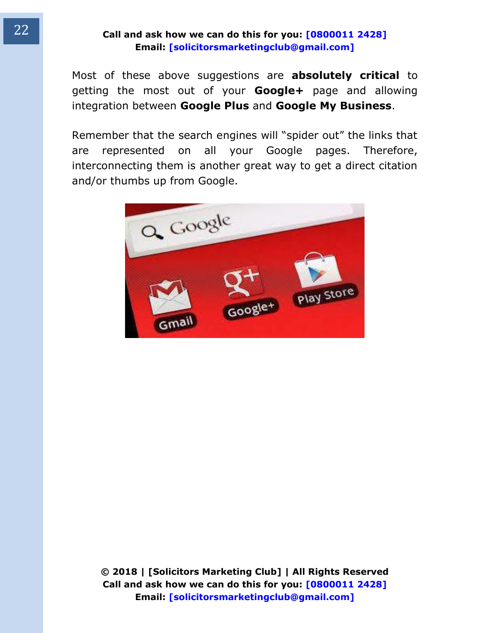Most of these above suggestions are **absolutely critical** to getting the most out of your **Google+** page and allowing integration between **Google Plus** and **Google My Business**.

Remember that the search engines will "spider out" the links that are represented on all your Google pages. Therefore, interconnecting them is another great way to get a direct citation and/or thumbs up from Google.

<span id="page-21-0"></span>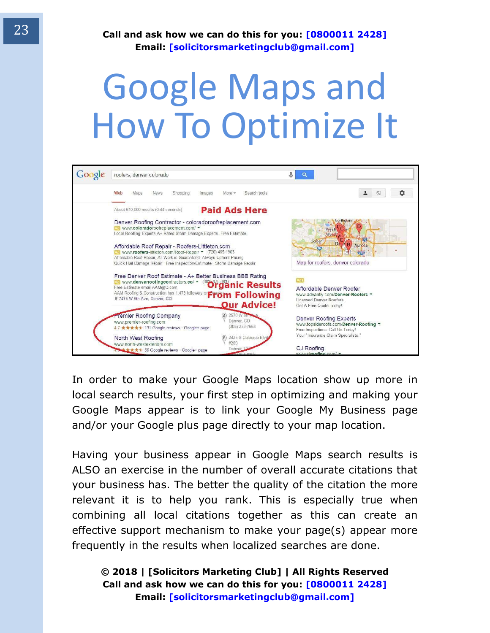## Google Maps and How To Optimize It



In order to make your Google Maps location show up more in local search results, your first step in optimizing and making your Google Maps appear is to link your Google My Business page and/or your Google plus page directly to your map location.

Having your business appear in Google Maps search results is ALSO an exercise in the number of overall accurate citations that your business has. The better the quality of the citation the more relevant it is to help you rank. This is especially true when combining all local citations together as this can create an effective support mechanism to make your page(s) appear more frequently in the results when localized searches are done.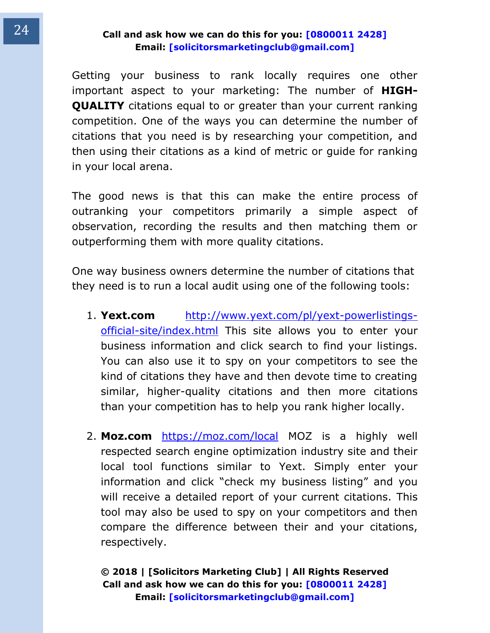Getting your business to rank locally requires one other important aspect to your marketing: The number of **HIGH-QUALITY** citations equal to or greater than your current ranking competition. One of the ways you can determine the number of citations that you need is by researching your competition, and then using their citations as a kind of metric or guide for ranking in your local arena.

The good news is that this can make the entire process of outranking your competitors primarily a simple aspect of observation, recording the results and then matching them or outperforming them with more quality citations.

One way business owners determine the number of citations that they need is to run a local audit using one of the following tools:

- 1. **Yext.com** [http://www.yext.com/pl/yext-powerlistings](http://www.yext.com/pl/yext-powerlistings-official-site/index.html)[official-site/index.html](http://www.yext.com/pl/yext-powerlistings-official-site/index.html) This site allows you to enter your business information and click search to find your listings. You can also use it to spy on your competitors to see the kind of citations they have and then devote time to creating similar, higher-quality citations and then more citations than your competition has to help you rank higher locally.
- 2. **Moz.com** <https://moz.com/local>MOZ is a highly well respected search engine optimization industry site and their local tool functions similar to Yext. Simply enter your information and click "check my business listing" and you will receive a detailed report of your current citations. This tool may also be used to spy on your competitors and then compare the difference between their and your citations, respectively.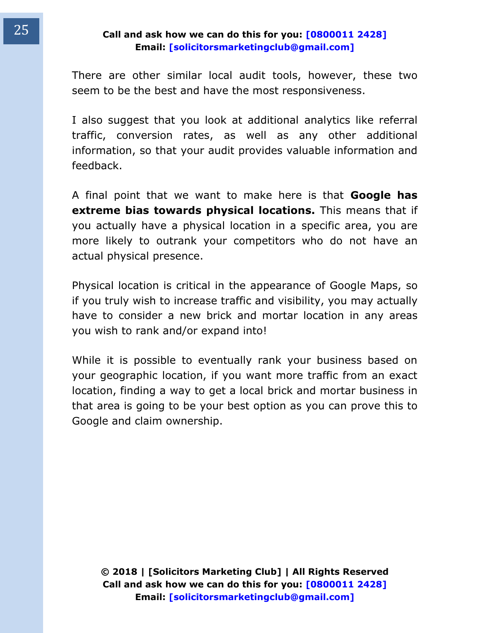There are other similar local audit tools, however, these two seem to be the best and have the most responsiveness.

I also suggest that you look at additional analytics like referral traffic, conversion rates, as well as any other additional information, so that your audit provides valuable information and feedback.

A final point that we want to make here is that **Google has extreme bias towards physical locations.** This means that if you actually have a physical location in a specific area, you are more likely to outrank your competitors who do not have an actual physical presence.

Physical location is critical in the appearance of Google Maps, so if you truly wish to increase traffic and visibility, you may actually have to consider a new brick and mortar location in any areas you wish to rank and/or expand into!

While it is possible to eventually rank your business based on your geographic location, if you want more traffic from an exact location, finding a way to get a local brick and mortar business in that area is going to be your best option as you can prove this to Google and claim ownership.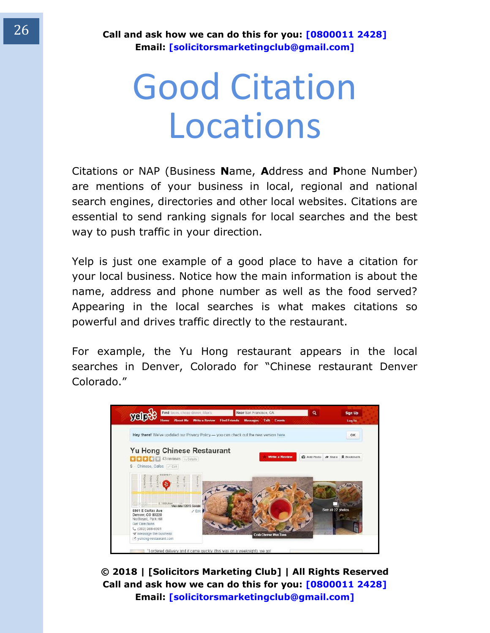## <span id="page-25-0"></span>Good Citation Locations

Citations or NAP (Business **N**ame, **A**ddress and **P**hone Number) are mentions of your business in local, regional and national search engines, directories and other local websites. Citations are essential to send ranking signals for local searches and the best way to push traffic in your direction.

Yelp is just one example of a good place to have a citation for your local business. Notice how the main information is about the name, address and phone number as well as the food served? Appearing in the local searches is what makes citations so powerful and drives traffic directly to the restaurant.

For example, the Yu Hong restaurant appears in the local searches in Denver, Colorado for "Chinese restaurant Denver Colorado."



**© 2018 | [Solicitors Marketing Club] | All Rights Reserved Call and ask how we can do this for you: [0800011 2428] Email: [solicitorsmarketingclub@gmail.com]**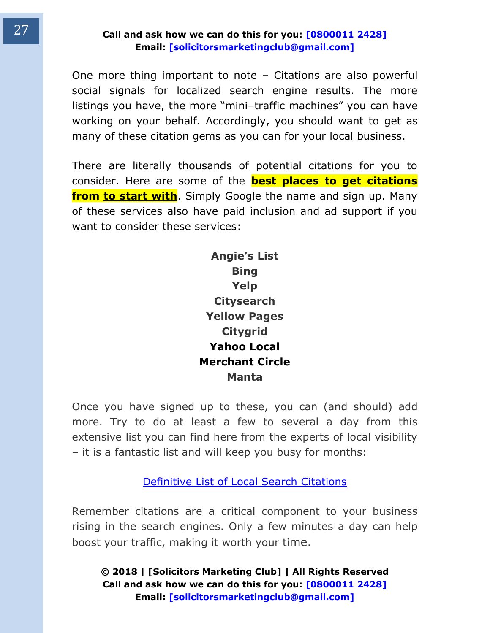One more thing important to note – Citations are also powerful social signals for localized search engine results. The more listings you have, the more "mini–traffic machines" you can have working on your behalf. Accordingly, you should want to get as many of these citation gems as you can for your local business.

There are literally thousands of potential citations for you to consider. Here are some of the **best places to get citations from to start with**. Simply Google the name and sign up. Many of these services also have paid inclusion and ad support if you want to consider these services:

> **Angie's List Bing Yelp Citysearch Yellow Pages Citygrid Yahoo Local Merchant Circle Manta**

Once you have signed up to these, you can (and should) add more. Try to do at least a few to several a day from this extensive list you can find here from the experts of local visibility – it is a fantastic list and will keep you busy for months:

[Definitive List of Local Search Citations](http://www.localvisibilitysystem.com/definitive-local-search-citations/)

Remember citations are a critical component to your business rising in the search engines. Only a few minutes a day can help boost your traffic, making it worth your time.